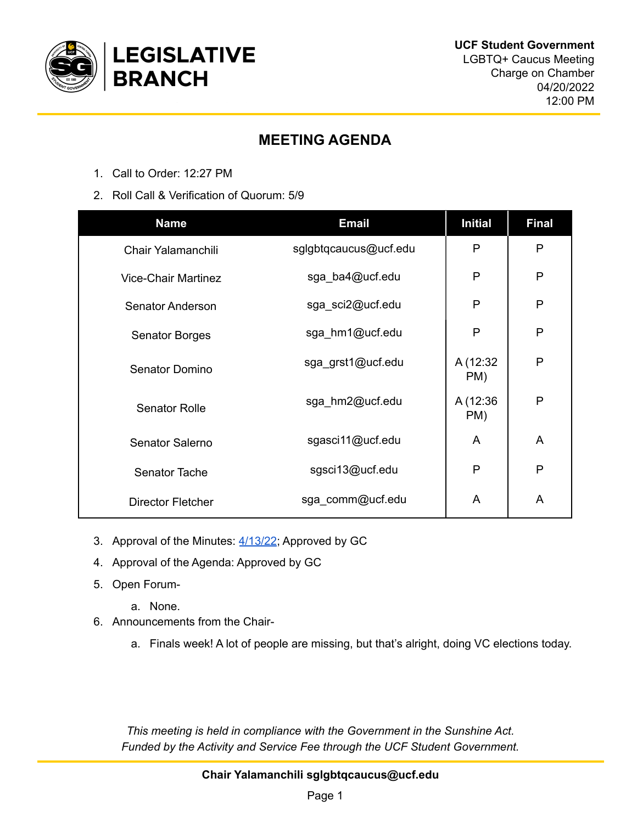

## **MEETING AGENDA**

- 1. Call to Order: 12:27 PM
- 2. Roll Call & Verification of Quorum: 5/9

| <b>Name</b>                | <b>Email</b>          | <b>Initial</b>  | <b>Final</b>   |
|----------------------------|-----------------------|-----------------|----------------|
| Chair Yalamanchili         | sglgbtqcaucus@ucf.edu | P               | P              |
| <b>Vice-Chair Martinez</b> | sga_ba4@ucf.edu       | P               | P              |
| <b>Senator Anderson</b>    | sga_sci2@ucf.edu      | P               | P              |
| <b>Senator Borges</b>      | sga_hm1@ucf.edu       | P               | P              |
| Senator Domino             | sga_grst1@ucf.edu     | A (12:32<br>PM) | P              |
| <b>Senator Rolle</b>       | sga_hm2@ucf.edu       | A (12:36<br>PM) | P              |
| Senator Salerno            | sgasci11@ucf.edu      | A               | A              |
| <b>Senator Tache</b>       | sgsci13@ucf.edu       | P               | P              |
| Director Fletcher          | sga_comm@ucf.edu      | A               | $\overline{A}$ |

- 3. Approval of the Minutes: [4/13/22](https://docs.google.com/document/u/0/d/1MtPlna-UyX75_BsQNjqPAfyohOFLXZkNYIVcSaoogHs/edit); Approved by GC
- 4. Approval of the Agenda: Approved by GC
- 5. Open Forum
	- a. None.
- 6. Announcements from the Chair
	- a. Finals week! A lot of people are missing, but that's alright, doing VC elections today.

*This meeting is held in compliance with the Government in the Sunshine Act. Funded by the Activity and Service Fee through the UCF Student Government.*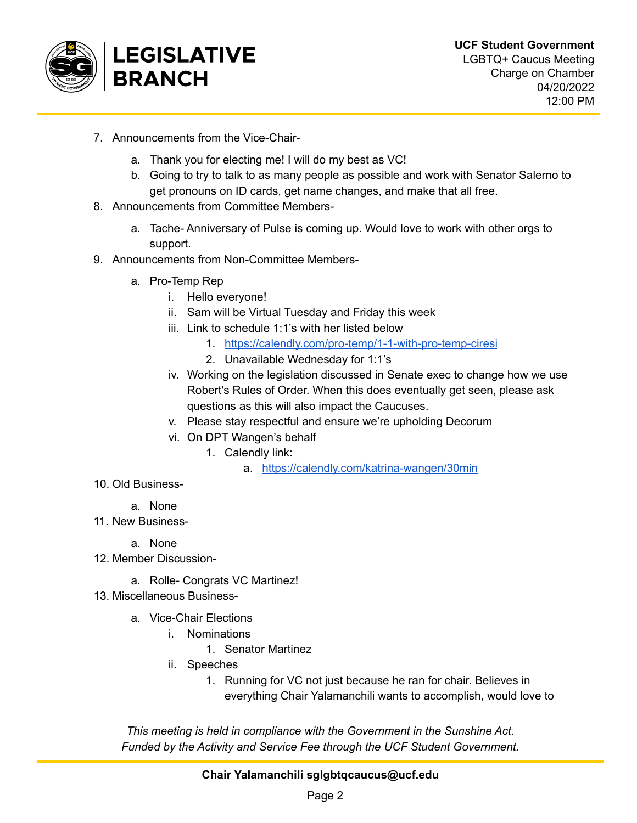

- 7. Announcements from the Vice-Chair
	- a. Thank you for electing me! I will do my best as VC!
	- b. Going to try to talk to as many people as possible and work with Senator Salerno to get pronouns on ID cards, get name changes, and make that all free.
- 8. Announcements from Committee Members
	- a. Tache- Anniversary of Pulse is coming up. Would love to work with other orgs to support.
- 9. Announcements from Non-Committee Members
	- a. Pro-Temp Rep
		- i. Hello everyone!
		- ii. Sam will be Virtual Tuesday and Friday this week
		- iii. Link to schedule 1:1's with her listed below
			- 1. <https://calendly.com/pro-temp/1-1-with-pro-temp-ciresi>
			- 2. Unavailable Wednesday for 1:1's
		- iv. Working on the legislation discussed in Senate exec to change how we use Robert's Rules of Order. When this does eventually get seen, please ask questions as this will also impact the Caucuses.
		- v. Please stay respectful and ensure we're upholding Decorum
		- vi. On DPT Wangen's behalf
			- 1. Calendly link:
				- a. <https://calendly.com/katrina-wangen/30min>
- 10. Old Business
	- a. None
- 11. New Business
	- a. None
- 12. Member Discussion
	- a. Rolle- Congrats VC Martinez!
- 13. Miscellaneous Business
	- a. Vice-Chair Elections
		- i. Nominations
			- 1. Senator Martinez
		- ii. Speeches
			- 1. Running for VC not just because he ran for chair. Believes in everything Chair Yalamanchili wants to accomplish, would love to

*This meeting is held in compliance with the Government in the Sunshine Act. Funded by the Activity and Service Fee through the UCF Student Government.*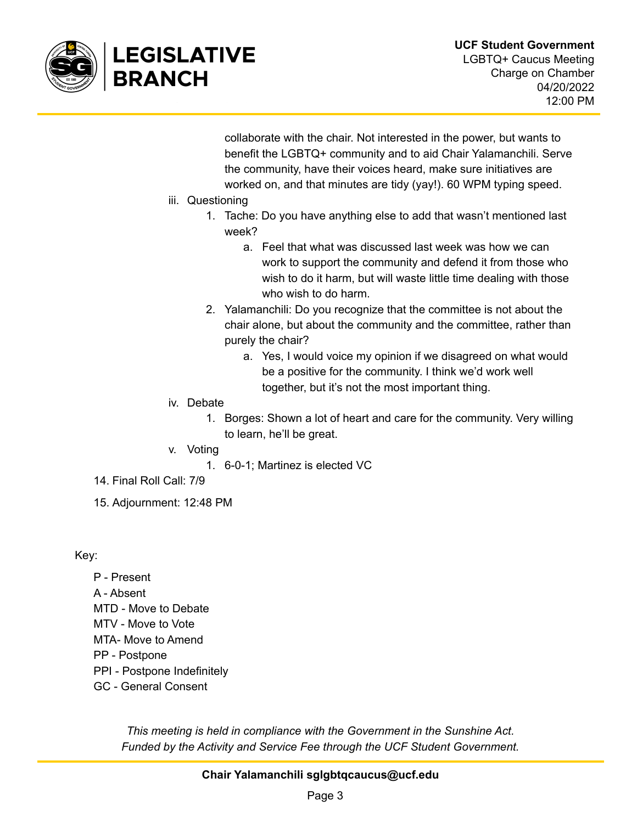

collaborate with the chair. Not interested in the power, but wants to benefit the LGBTQ+ community and to aid Chair Yalamanchili. Serve the community, have their voices heard, make sure initiatives are worked on, and that minutes are tidy (yay!). 60 WPM typing speed.

- iii. Questioning
	- 1. Tache: Do you have anything else to add that wasn't mentioned last week?
		- a. Feel that what was discussed last week was how we can work to support the community and defend it from those who wish to do it harm, but will waste little time dealing with those who wish to do harm.
	- 2. Yalamanchili: Do you recognize that the committee is not about the chair alone, but about the community and the committee, rather than purely the chair?
		- a. Yes, I would voice my opinion if we disagreed on what would be a positive for the community. I think we'd work well together, but it's not the most important thing.
- iv. Debate
	- 1. Borges: Shown a lot of heart and care for the community. Very willing to learn, he'll be great.
- v. Voting
	- 1. 6-0-1; Martinez is elected VC
- 14. Final Roll Call: 7/9
- 15. Adjournment: 12:48 PM

Key:

- P Present
- A Absent
- MTD Move to Debate
- MTV Move to Vote
- MTA- Move to Amend
- PP Postpone
- PPI Postpone Indefinitely
- GC General Consent

*This meeting is held in compliance with the Government in the Sunshine Act. Funded by the Activity and Service Fee through the UCF Student Government.*